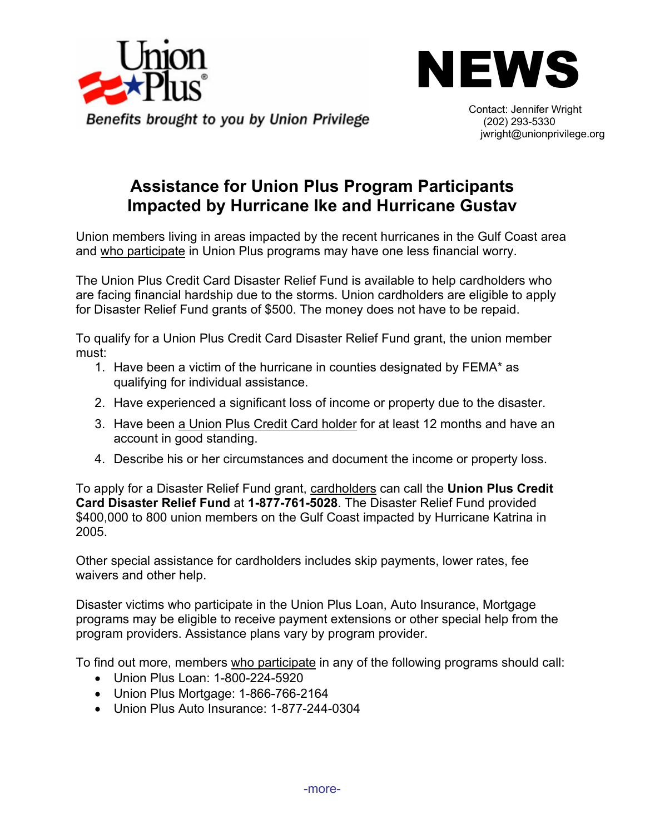



(202) 293-5330 Contact: Jennifer Wright jwright@unionprivilege.org

## **Assistance for Union Plus Program Participants Impacted by Hurricane Ike and Hurricane Gustav**

Union members living in areas impacted by the recent hurricanes in the Gulf Coast area and who participate in Union Plus programs may have one less financial worry.

The Union Plus Credit Card Disaster Relief Fund is available to help cardholders who are facing financial hardship due to the storms. Union cardholders are eligible to apply for Disaster Relief Fund grants of \$500. The money does not have to be repaid.

To qualify for a Union Plus Credit Card Disaster Relief Fund grant, the union member must:

- 1. Have been a victim of the hurricane in counties designated by FEMA\* as qualifying for individual assistance.
- 2. Have experienced a significant loss of income or property due to the disaster.
- 3. Have been a Union Plus Credit Card holder for at least 12 months and have an account in good standing.
- 4. Describe his or her circumstances and document the income or property loss.

To apply for a Disaster Relief Fund grant, cardholders can call the **Union Plus Credit Card Disaster Relief Fund** at **1-877-761-5028**. The Disaster Relief Fund provided \$400,000 to 800 union members on the Gulf Coast impacted by Hurricane Katrina in 2005.

Other special assistance for cardholders includes skip payments, lower rates, fee waivers and other help.

Disaster victims who participate in the Union Plus Loan, Auto Insurance, Mortgage programs may be eligible to receive payment extensions or other special help from the program providers. Assistance plans vary by program provider.

To find out more, members who participate in any of the following programs should call:

- Union Plus Loan: 1-800-224-5920
- Union Plus Mortgage: 1-866-766-2164
- Union Plus Auto Insurance: 1-877-244-0304